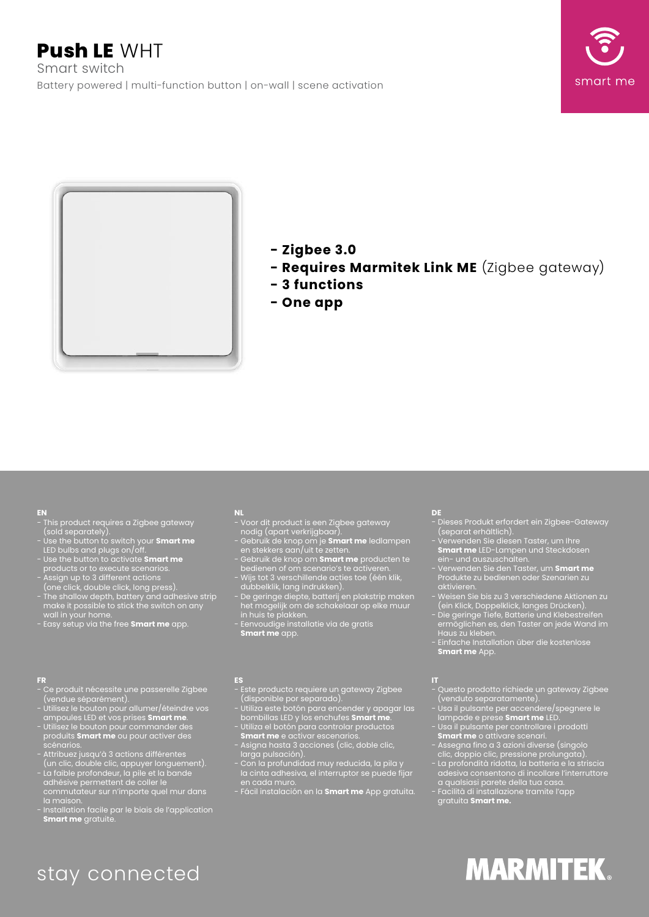



- **Zigbee 3.0**
- **Requires Marmitek Link ME** (Zigbee gateway)
- **3 functions**
- **One app**

### **EN**

- This product requires a Zigbee gateway (sold separately).
- Use the button to switch your **Smart me** LED bulbs and plugs on/off.
- Use the button to activate **Smart me** products or to execute scenarios.
- Assign up to 3 different actions (one click, double click, long press).
- The shallow depth, battery and adhesive strip make it possible to stick the switch on any wall in your home.
- Easy setup via the free **Smart me** app.

### **FR**

- Ce produit nécessite une passerelle Zigbee (vendue séparément).
- Utilisez le bouton pour allumer/éteindre vos ampoules LED et vos prises **Smart me**.
- Utilisez le bouton pour commander des produits **Smart me** ou pour activer des scénarios.
- Attribuez jusqu'à 3 actions différentes (un clic, double clic, appuyer longuement).
- La faible profondeur, la pile et la bande adhésive permettent de coller le commutateur sur n'importe quel mur dans
- la maison. - Installation facile par le biais de l'application

### **Smart me** gratuite.

### **NL**

- Voor dit product is een Zigbee gateway nodig (apart verkrijgbaar).
- Gebruik de knop om je **Smart me** ledlampen en stekkers aan/uit te zetten.
- Gebruik de knop om **Smart me** producten te bedienen of om scenario's te activeren.
- Wijs tot 3 verschillende acties toe (één klik, dubbelklik, lang indrukken).
- De geringe diepte, batterij en plakstrip maken het mogelijk om de schakelaar op elke muur in huis te plakken.
- Eenvoudige installatie via de gratis **Smart me** app.

### **ES**

- Este producto requiere un gateway Zigbee (disponible por separado).
- Utiliza este botón para encender y apagar las bombillas LED y los enchufes **Smart me**.
- Utiliza el botón para controlar productos **Smart me** e activar escenarios.
- Asigna hasta 3 acciones (clic, doble clic,
- larga pulsación). - Con la profundidad muy reducida, la pila y la cinta adhesiva, el interruptor se puede fijar en cada muro.
- Fácil instalación en la **Smart me** App gratuita.

### **DE**

- Dieses Produkt erfordert ein Zigbee-Gateway (separat erhältlich).
- Verwenden Sie diesen Taster, um Ihre **Smart me** LED-Lampen und Steckdosen ein- und auszuschalten.
- Verwenden Sie den Taster, um **Smart me** Produkte zu bedienen oder Szenarien zu aktivieren.
- Weisen Sie bis zu 3 verschiedene Aktionen zu (ein Klick, Doppelklick, langes Drücken).
- Die geringe Tiefe, Batterie und Klebestreifen ermöglichen es, den Taster an jede Wand im Haus zu kleben.
- Einfache Installation über die kostenlose **Smart me** App.

### **IT**

- Questo prodotto richiede un gateway Zigbee (venduto separatamente).
- Usa il pulsante per accendere/spegnere le lampade e prese **Smart me** LED.
- Usa il pulsante per controllare i prodotti **Smart me** o attivare scenari.
- Assegna fino a 3 azioni diverse (singolo clic, doppio clic, pressione prolungata). - La profondità ridotta, la batteria e la striscia adesiva consentono di incollare l'interruttore
- a qualsiasi parete della tua casa. - Facilità di installazione tramite l'app
- gratuita **Smart me.**

# **MARMITEK.**

## stay connected